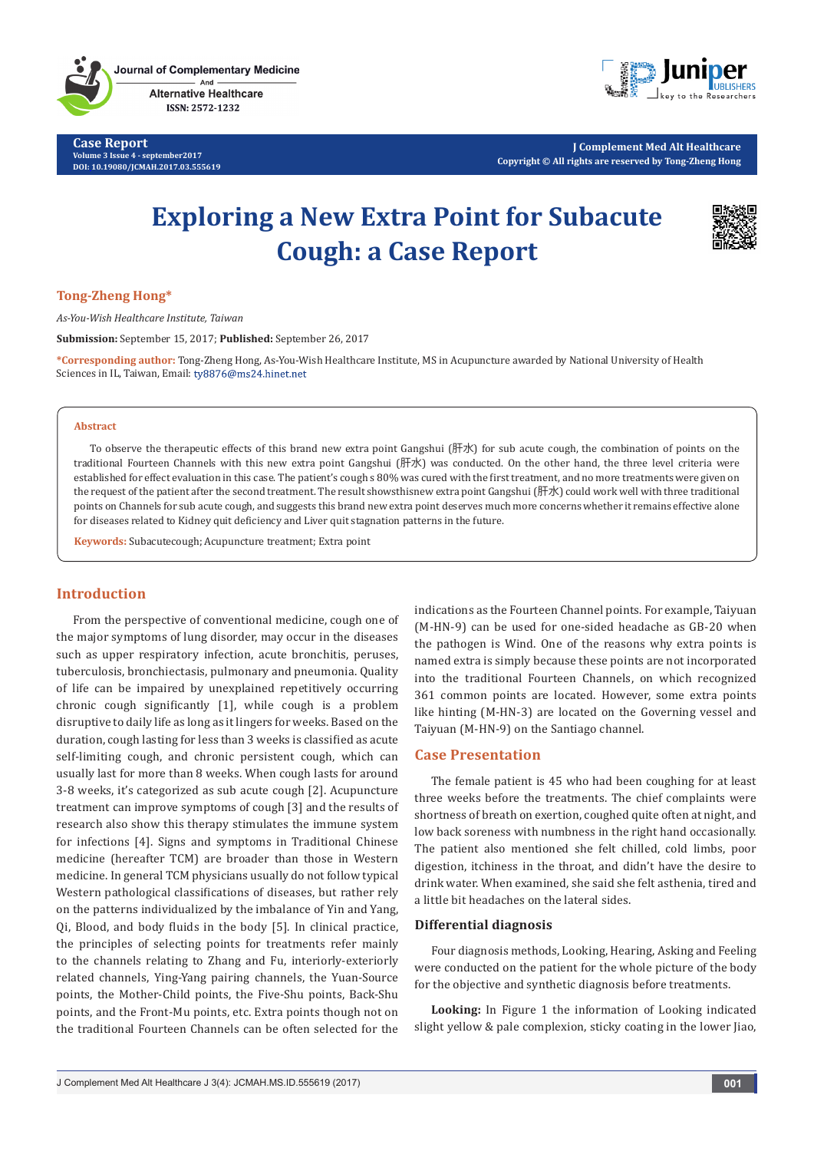**Case Report Volume 3 Issue 4 - september2017 DOI: [10.19080/JCMAH.2017.03.555619](http://dx.doi.org/10.19080/JCMAH.2017.03.555619)**



**J Complement Med Alt Healthcare Copyright © All rights are reserved by Tong-Zheng Hong**

# **Exploring a New Extra Point for Subacute Cough: a Case Report**



## **Tong-Zheng Hong\***

*As-You-Wish Healthcare Institute, Taiwan*

**Submission:** September 15, 2017; **Published:** September 26, 2017

**\*Corresponding author:** Tong-Zheng Hong, As-You-Wish Healthcare Institute, MS in Acupuncture awarded by National University of Health Sciences in IL, Taiwan, Email: ty8876@ms24.hinet.net

#### **Abstract**

To observe the therapeutic effects of this brand new extra point Gangshui (肝水) for sub acute cough, the combination of points on the traditional Fourteen Channels with this new extra point Gangshui (肝水) was conducted. On the other hand, the three level criteria were established for effect evaluation in this case. The patient's cough s 80% was cured with the first treatment, and no more treatments were given on the request of the patient after the second treatment. The result showsthisnew extra point Gangshui (肝水) could work well with three traditional points on Channels for sub acute cough, and suggests this brand new extra point deserves much more concerns whether it remains effective alone for diseases related to Kidney quit deficiency and Liver quit stagnation patterns in the future.

**Keywords:** Subacutecough; Acupuncture treatment; Extra point

## **Introduction**

From the perspective of conventional medicine, cough one of the major symptoms of lung disorder, may occur in the diseases such as upper respiratory infection, acute bronchitis, peruses, tuberculosis, bronchiectasis, pulmonary and pneumonia. Quality of life can be impaired by unexplained repetitively occurring chronic cough significantly [1], while cough is a problem disruptive to daily life as long as it lingers for weeks. Based on the duration, cough lasting for less than 3 weeks is classified as acute self-limiting cough, and chronic persistent cough, which can usually last for more than 8 weeks. When cough lasts for around 3-8 weeks, it's categorized as sub acute cough [2]. Acupuncture treatment can improve symptoms of cough [3] and the results of research also show this therapy stimulates the immune system for infections [4]. Signs and symptoms in Traditional Chinese medicine (hereafter TCM) are broader than those in Western medicine. In general TCM physicians usually do not follow typical Western pathological classifications of diseases, but rather rely on the patterns individualized by the imbalance of Yin and Yang, Qi, Blood, and body fluids in the body [5]. In clinical practice, the principles of selecting points for treatments refer mainly to the channels relating to Zhang and Fu, interiorly-exteriorly related channels, Ying-Yang pairing channels, the Yuan-Source points, the Mother-Child points, the Five-Shu points, Back-Shu points, and the Front-Mu points, etc. Extra points though not on the traditional Fourteen Channels can be often selected for the

indications as the Fourteen Channel points. For example, Taiyuan (M-HN-9) can be used for one-sided headache as GB-20 when the pathogen is Wind. One of the reasons why extra points is named extra is simply because these points are not incorporated into the traditional Fourteen Channels, on which recognized 361 common points are located. However, some extra points like hinting (M-HN-3) are located on the Governing vessel and Taiyuan (M-HN-9) on the Santiago channel.

### **Case Presentation**

The female patient is 45 who had been coughing for at least three weeks before the treatments. The chief complaints were shortness of breath on exertion, coughed quite often at night, and low back soreness with numbness in the right hand occasionally. The patient also mentioned she felt chilled, cold limbs, poor digestion, itchiness in the throat, and didn't have the desire to drink water. When examined, she said she felt asthenia, tired and a little bit headaches on the lateral sides.

#### **Differential diagnosis**

Four diagnosis methods, Looking, Hearing, Asking and Feeling were conducted on the patient for the whole picture of the body for the objective and synthetic diagnosis before treatments.

**Looking:** In Figure 1 the information of Looking indicated slight yellow & pale complexion, sticky coating in the lower Jiao,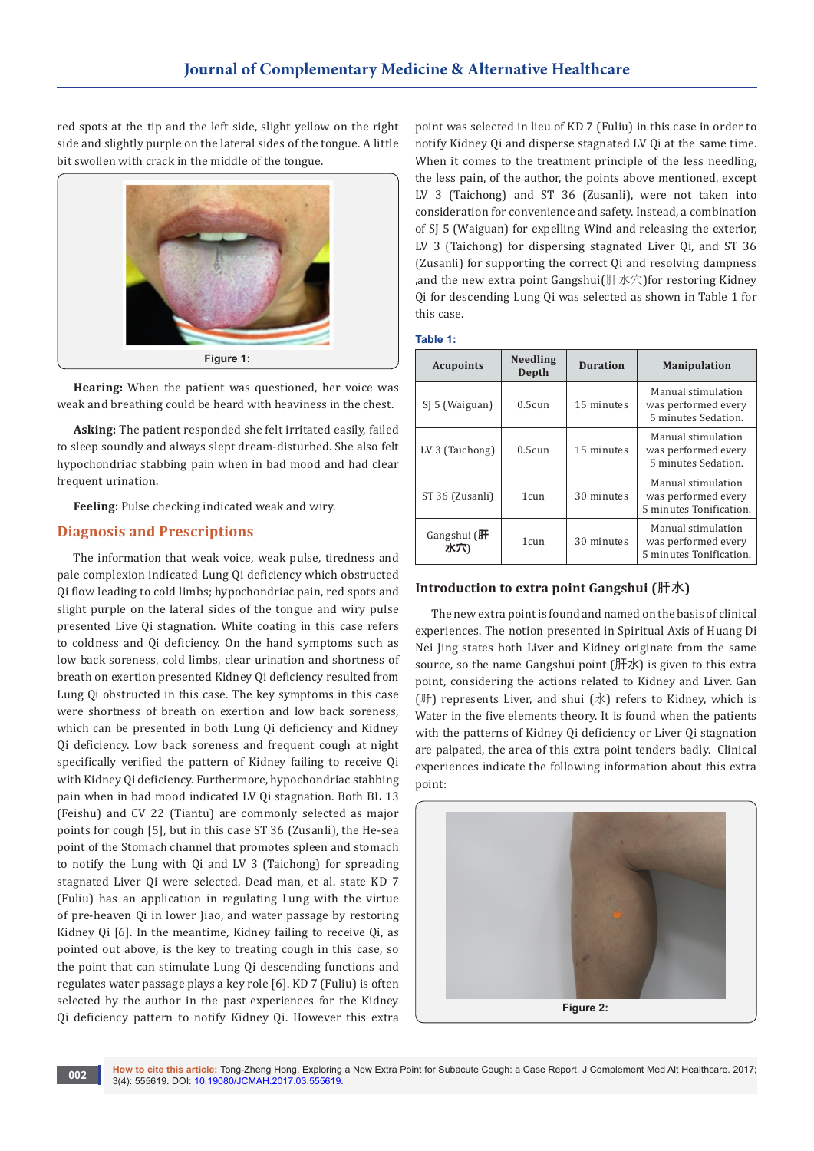red spots at the tip and the left side, slight yellow on the right side and slightly purple on the lateral sides of the tongue. A little bit swollen with crack in the middle of the tongue.



**Hearing:** When the patient was questioned, her voice was weak and breathing could be heard with heaviness in the chest.

**Asking:** The patient responded she felt irritated easily, failed to sleep soundly and always slept dream-disturbed. She also felt hypochondriac stabbing pain when in bad mood and had clear frequent urination.

**Feeling:** Pulse checking indicated weak and wiry.

# **Diagnosis and Prescriptions**

The information that weak voice, weak pulse, tiredness and pale complexion indicated Lung Qi deficiency which obstructed Qi flow leading to cold limbs; hypochondriac pain, red spots and slight purple on the lateral sides of the tongue and wiry pulse presented Live Qi stagnation. White coating in this case refers to coldness and Qi deficiency. On the hand symptoms such as low back soreness, cold limbs, clear urination and shortness of breath on exertion presented Kidney Qi deficiency resulted from Lung Qi obstructed in this case. The key symptoms in this case were shortness of breath on exertion and low back soreness, which can be presented in both Lung Qi deficiency and Kidney Qi deficiency. Low back soreness and frequent cough at night specifically verified the pattern of Kidney failing to receive Qi with Kidney Qi deficiency. Furthermore, hypochondriac stabbing pain when in bad mood indicated LV Qi stagnation. Both BL 13 (Feishu) and CV 22 (Tiantu) are commonly selected as major points for cough [5], but in this case ST 36 (Zusanli), the He-sea point of the Stomach channel that promotes spleen and stomach to notify the Lung with Qi and LV 3 (Taichong) for spreading stagnated Liver Qi were selected. Dead man, et al. state KD 7 (Fuliu) has an application in regulating Lung with the virtue of pre-heaven Qi in lower Jiao, and water passage by restoring Kidney Qi [6]. In the meantime, Kidney failing to receive Qi, as pointed out above, is the key to treating cough in this case, so the point that can stimulate Lung Qi descending functions and regulates water passage plays a key role [6]. KD 7 (Fuliu) is often selected by the author in the past experiences for the Kidney Qi deficiency pattern to notify Kidney Qi. However this extra

point was selected in lieu of KD 7 (Fuliu) in this case in order to notify Kidney Qi and disperse stagnated LV Qi at the same time. When it comes to the treatment principle of the less needling, the less pain, of the author, the points above mentioned, except LV 3 (Taichong) and ST 36 (Zusanli), were not taken into consideration for convenience and safety. Instead, a combination of SJ 5 (Waiguan) for expelling Wind and releasing the exterior, LV 3 (Taichong) for dispersing stagnated Liver Qi, and ST 36 (Zusanli) for supporting the correct Qi and resolving dampness ,and the new extra point Gangshui(肝水穴)for restoring Kidney Qi for descending Lung Qi was selected as shown in Table 1 for this case.

**Table 1:**

| <b>Acupoints</b>  | <b>Needling</b><br>Depth | <b>Duration</b> | <b>Manipulation</b>                                                  |
|-------------------|--------------------------|-----------------|----------------------------------------------------------------------|
| SJ 5 (Waiguan)    | 0.5cm                    | 15 minutes      | Manual stimulation<br>was performed every<br>5 minutes Sedation.     |
| $LV3$ (Taichong)  | 0.5cm                    | 15 minutes      | Manual stimulation<br>was performed every<br>5 minutes Sedation.     |
| ST 36 (Zusanli)   | 1 <sub>cun</sub>         | 30 minutes      | Manual stimulation<br>was performed every<br>5 minutes Tonification. |
| Gangshui (肝<br>水穴 | 1 cun                    | 30 minutes      | Manual stimulation<br>was performed every<br>5 minutes Tonification. |

# **Introduction to extra point Gangshui (**肝水**)**

The new extra point is found and named on the basis of clinical experiences. The notion presented in Spiritual Axis of Huang Di Nei Jing states both Liver and Kidney originate from the same source, so the name Gangshui point (肝水) is given to this extra point, considering the actions related to Kidney and Liver. Gan (肝) represents Liver, and shui  $(A)$  refers to Kidney, which is Water in the five elements theory. It is found when the patients with the patterns of Kidney Qi deficiency or Liver Qi stagnation are palpated, the area of this extra point tenders badly. Clinical experiences indicate the following information about this extra point:

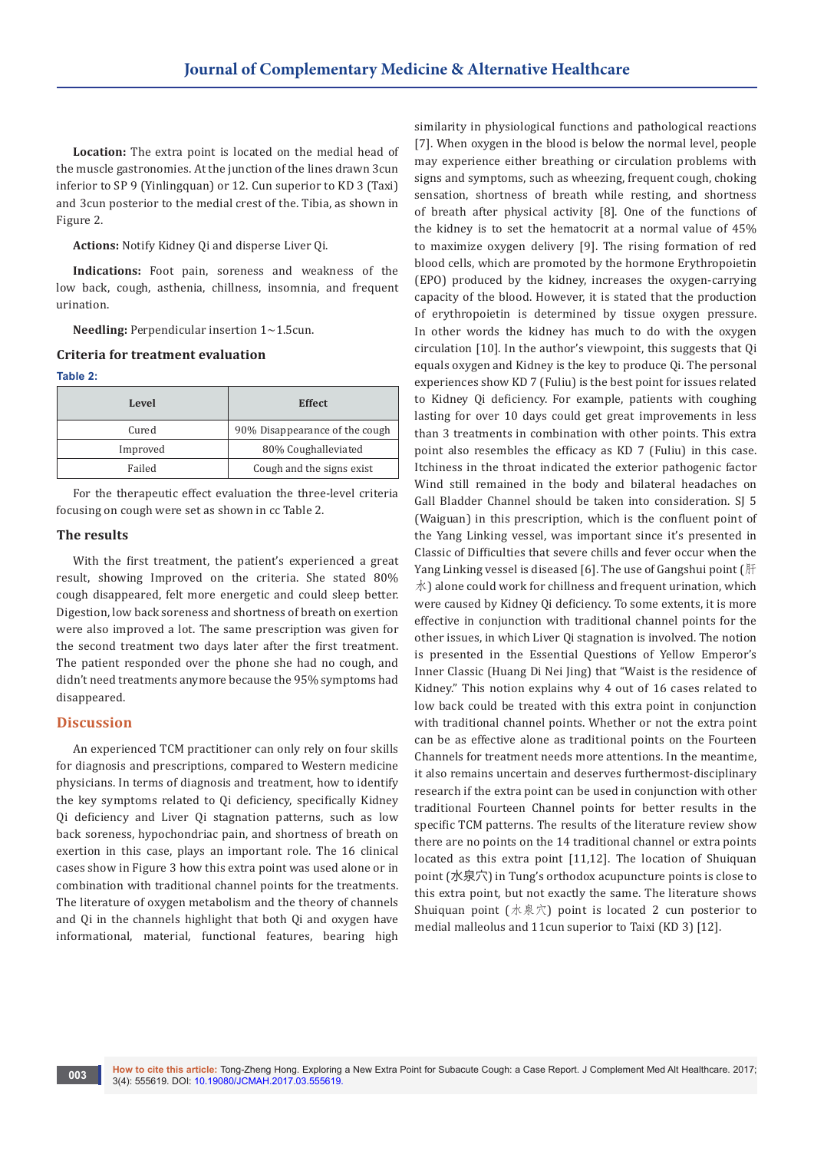**Location:** The extra point is located on the medial head of the muscle gastronomies. At the junction of the lines drawn 3cun inferior to SP 9 (Yinlingquan) or 12. Cun superior to KD 3 (Taxi) and 3cun posterior to the medial crest of the. Tibia, as shown in Figure 2.

**Actions:** Notify Kidney Qi and disperse Liver Qi.

**Indications:** Foot pain, soreness and weakness of the low back, cough, asthenia, chillness, insomnia, and frequent urination.

**Needling:** Perpendicular insertion 1~1.5cun.

# **Criteria for treatment evaluation**

#### **Table 2:**

| Level    | <b>Effect</b>                  |  |
|----------|--------------------------------|--|
| Cured    | 90% Disappearance of the cough |  |
| Improved | 80% Coughalleviated            |  |
| Failed   | Cough and the signs exist      |  |

For the therapeutic effect evaluation the three-level criteria focusing on cough were set as shown in cc Table 2.

#### **The results**

With the first treatment, the patient's experienced a great result, showing Improved on the criteria. She stated 80% cough disappeared, felt more energetic and could sleep better. Digestion, low back soreness and shortness of breath on exertion were also improved a lot. The same prescription was given for the second treatment two days later after the first treatment. The patient responded over the phone she had no cough, and didn't need treatments anymore because the 95% symptoms had disappeared.

### **Discussion**

An experienced TCM practitioner can only rely on four skills for diagnosis and prescriptions, compared to Western medicine physicians. In terms of diagnosis and treatment, how to identify the key symptoms related to Qi deficiency, specifically Kidney Qi deficiency and Liver Qi stagnation patterns, such as low back soreness, hypochondriac pain, and shortness of breath on exertion in this case, plays an important role. The 16 clinical cases show in Figure 3 how this extra point was used alone or in combination with traditional channel points for the treatments. The literature of oxygen metabolism and the theory of channels and Qi in the channels highlight that both Qi and oxygen have informational, material, functional features, bearing high

similarity in physiological functions and pathological reactions [7]. When oxygen in the blood is below the normal level, people may experience either breathing or circulation problems with signs and symptoms, such as wheezing, frequent cough, choking sensation, shortness of breath while resting, and shortness of breath after physical activity [8]. One of the functions of the kidney is to set the hematocrit at a normal value of 45% to maximize oxygen delivery [9]. The rising formation of red blood cells, which are promoted by the hormone Erythropoietin (EPO) produced by the kidney, increases the oxygen-carrying capacity of the blood. However, it is stated that the production of erythropoietin is determined by tissue oxygen pressure. In other words the kidney has much to do with the oxygen circulation [10]. In the author's viewpoint, this suggests that Qi equals oxygen and Kidney is the key to produce Qi. The personal experiences show KD 7 (Fuliu) is the best point for issues related to Kidney Qi deficiency. For example, patients with coughing lasting for over 10 days could get great improvements in less than 3 treatments in combination with other points. This extra point also resembles the efficacy as KD 7 (Fuliu) in this case. Itchiness in the throat indicated the exterior pathogenic factor Wind still remained in the body and bilateral headaches on Gall Bladder Channel should be taken into consideration. SJ 5 (Waiguan) in this prescription, which is the confluent point of the Yang Linking vessel, was important since it's presented in Classic of Difficulties that severe chills and fever occur when the Yang Linking vessel is diseased [6]. The use of Gangshui point (肝  $\mathcal{R}$ ) alone could work for chillness and frequent urination, which were caused by Kidney Qi deficiency. To some extents, it is more effective in conjunction with traditional channel points for the other issues, in which Liver Qi stagnation is involved. The notion is presented in the Essential Questions of Yellow Emperor's Inner Classic (Huang Di Nei Jing) that "Waist is the residence of Kidney." This notion explains why 4 out of 16 cases related to low back could be treated with this extra point in conjunction with traditional channel points. Whether or not the extra point can be as effective alone as traditional points on the Fourteen Channels for treatment needs more attentions. In the meantime, it also remains uncertain and deserves furthermost-disciplinary research if the extra point can be used in conjunction with other traditional Fourteen Channel points for better results in the specific TCM patterns. The results of the literature review show there are no points on the 14 traditional channel or extra points located as this extra point [11,12]. The location of Shuiquan point (水泉穴) in Tung's orthodox acupuncture points is close to this extra point, but not exactly the same. The literature shows Shuiquan point (水泉穴) point is located 2 cun posterior to medial malleolus and 11cun superior to Taixi (KD 3) [12].